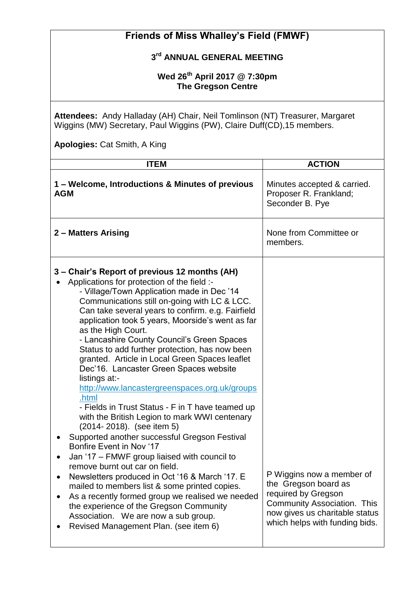| <b>Friends of Miss Whalley's Field (FMWF)</b>                                                                                                                                                                                                                                                                                                                                                                                                                                                                                                                                                                                                                                                                                                                                                                                                                                                                                                                                                                                                                                                                                                                                               |                                                                                                                                                                                    |  |
|---------------------------------------------------------------------------------------------------------------------------------------------------------------------------------------------------------------------------------------------------------------------------------------------------------------------------------------------------------------------------------------------------------------------------------------------------------------------------------------------------------------------------------------------------------------------------------------------------------------------------------------------------------------------------------------------------------------------------------------------------------------------------------------------------------------------------------------------------------------------------------------------------------------------------------------------------------------------------------------------------------------------------------------------------------------------------------------------------------------------------------------------------------------------------------------------|------------------------------------------------------------------------------------------------------------------------------------------------------------------------------------|--|
| 3rd ANNUAL GENERAL MEETING                                                                                                                                                                                                                                                                                                                                                                                                                                                                                                                                                                                                                                                                                                                                                                                                                                                                                                                                                                                                                                                                                                                                                                  |                                                                                                                                                                                    |  |
| Wed 26 <sup>th</sup> April 2017 @ 7:30pm<br><b>The Gregson Centre</b><br>Attendees: Andy Halladay (AH) Chair, Neil Tomlinson (NT) Treasurer, Margaret<br>Wiggins (MW) Secretary, Paul Wiggins (PW), Claire Duff(CD), 15 members.                                                                                                                                                                                                                                                                                                                                                                                                                                                                                                                                                                                                                                                                                                                                                                                                                                                                                                                                                            |                                                                                                                                                                                    |  |
|                                                                                                                                                                                                                                                                                                                                                                                                                                                                                                                                                                                                                                                                                                                                                                                                                                                                                                                                                                                                                                                                                                                                                                                             |                                                                                                                                                                                    |  |
| <b>ITEM</b>                                                                                                                                                                                                                                                                                                                                                                                                                                                                                                                                                                                                                                                                                                                                                                                                                                                                                                                                                                                                                                                                                                                                                                                 | <b>ACTION</b>                                                                                                                                                                      |  |
| 1 – Welcome, Introductions & Minutes of previous<br><b>AGM</b>                                                                                                                                                                                                                                                                                                                                                                                                                                                                                                                                                                                                                                                                                                                                                                                                                                                                                                                                                                                                                                                                                                                              | Minutes accepted & carried.<br>Proposer R. Frankland;<br>Seconder B. Pye                                                                                                           |  |
| 2 - Matters Arising                                                                                                                                                                                                                                                                                                                                                                                                                                                                                                                                                                                                                                                                                                                                                                                                                                                                                                                                                                                                                                                                                                                                                                         | None from Committee or<br>members.                                                                                                                                                 |  |
| 3 – Chair's Report of previous 12 months (AH)<br>Applications for protection of the field :-<br>- Village/Town Application made in Dec '14<br>Communications still on-going with LC & LCC.<br>Can take several years to confirm. e.g. Fairfield<br>application took 5 years, Moorside's went as far<br>as the High Court.<br>- Lancashire County Council's Green Spaces<br>Status to add further protection, has now been<br>granted. Article in Local Green Spaces leaflet<br>Dec'16. Lancaster Green Spaces website<br>listings at:-<br>http://www.lancastergreenspaces.org.uk/groups<br>.html<br>- Fields in Trust Status - F in T have teamed up<br>with the British Legion to mark WWI centenary<br>(2014-2018). (see item 5)<br>Supported another successful Gregson Festival<br><b>Bonfire Event in Nov '17</b><br>Jan '17 - FMWF group liaised with council to<br>remove burnt out car on field.<br>Newsletters produced in Oct '16 & March '17. E<br>mailed to members list & some printed copies.<br>As a recently formed group we realised we needed<br>the experience of the Gregson Community<br>Association. We are now a sub group.<br>Revised Management Plan. (see item 6) | P Wiggins now a member of<br>the Gregson board as<br>required by Gregson<br><b>Community Association. This</b><br>now gives us charitable status<br>which helps with funding bids. |  |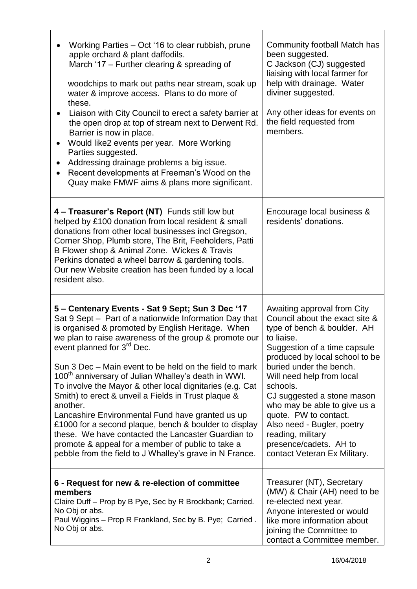| Working Parties – Oct '16 to clear rubbish, prune<br>apple orchard & plant daffodils.<br>March '17 - Further clearing & spreading of<br>woodchips to mark out paths near stream, soak up<br>water & improve access. Plans to do more of<br>these.<br>Liaison with City Council to erect a safety barrier at<br>the open drop at top of stream next to Derwent Rd.<br>Barrier is now in place.<br>Would like2 events per year. More Working<br>Parties suggested.<br>Addressing drainage problems a big issue.<br>Recent developments at Freeman's Wood on the<br>Quay make FMWF aims & plans more significant.                                                                                                                                                                                                    | Community football Match has<br>been suggested.<br>C Jackson (CJ) suggested<br>liaising with local farmer for<br>help with drainage. Water<br>diviner suggested.<br>Any other ideas for events on<br>the field requested from<br>members.                                                                                                                                                                                                            |
|-------------------------------------------------------------------------------------------------------------------------------------------------------------------------------------------------------------------------------------------------------------------------------------------------------------------------------------------------------------------------------------------------------------------------------------------------------------------------------------------------------------------------------------------------------------------------------------------------------------------------------------------------------------------------------------------------------------------------------------------------------------------------------------------------------------------|------------------------------------------------------------------------------------------------------------------------------------------------------------------------------------------------------------------------------------------------------------------------------------------------------------------------------------------------------------------------------------------------------------------------------------------------------|
| 4 - Treasurer's Report (NT) Funds still low but<br>helped by £100 donation from local resident & small<br>donations from other local businesses incl Gregson,<br>Corner Shop, Plumb store, The Brit, Feeholders, Patti<br>B Flower shop & Animal Zone. Wickes & Travis<br>Perkins donated a wheel barrow & gardening tools.<br>Our new Website creation has been funded by a local<br>resident also.                                                                                                                                                                                                                                                                                                                                                                                                              | Encourage local business &<br>residents' donations.                                                                                                                                                                                                                                                                                                                                                                                                  |
| 5 – Centenary Events - Sat 9 Sept; Sun 3 Dec '17<br>Sat 9 Sept - Part of a nationwide Information Day that<br>is organised & promoted by English Heritage. When<br>we plan to raise awareness of the group & promote our<br>event planned for 3 <sup>rd</sup> Dec.<br>Sun 3 Dec – Main event to be held on the field to mark<br>100 <sup>th</sup> anniversary of Julian Whalley's death in WWI.<br>To involve the Mayor & other local dignitaries (e.g. Cat<br>Smith) to erect & unveil a Fields in Trust plaque &<br>another.<br>Lancashire Environmental Fund have granted us up<br>£1000 for a second plaque, bench & boulder to display<br>these. We have contacted the Lancaster Guardian to<br>promote & appeal for a member of public to take a<br>pebble from the field to J Whalley's grave in N France. | Awaiting approval from City<br>Council about the exact site &<br>type of bench & boulder. AH<br>to liaise.<br>Suggestion of a time capsule<br>produced by local school to be<br>buried under the bench.<br>Will need help from local<br>schools.<br>CJ suggested a stone mason<br>who may be able to give us a<br>quote. PW to contact.<br>Also need - Bugler, poetry<br>reading, military<br>presence/cadets. AH to<br>contact Veteran Ex Military. |
| 6 - Request for new & re-election of committee<br>members<br>Claire Duff - Prop by B Pye, Sec by R Brockbank; Carried.<br>No Obj or abs.<br>Paul Wiggins - Prop R Frankland, Sec by B. Pye; Carried.<br>No Obj or abs.                                                                                                                                                                                                                                                                                                                                                                                                                                                                                                                                                                                            | Treasurer (NT), Secretary<br>(MW) & Chair (AH) need to be<br>re-elected next year.<br>Anyone interested or would<br>like more information about<br>joining the Committee to<br>contact a Committee member.                                                                                                                                                                                                                                           |